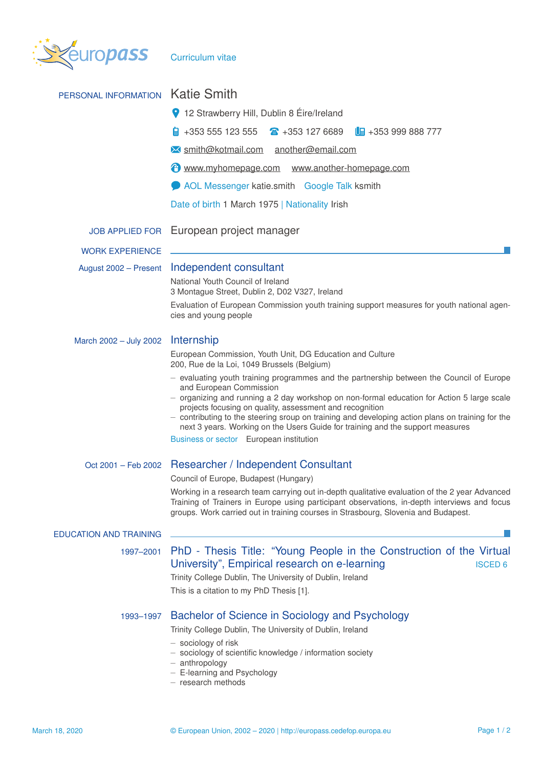

| PERSONAL INFORMATION          | <b>Katie Smith</b>                                                                                                                                                                                                                                                                                                                                                                                                                                                  |  |  |  |  |
|-------------------------------|---------------------------------------------------------------------------------------------------------------------------------------------------------------------------------------------------------------------------------------------------------------------------------------------------------------------------------------------------------------------------------------------------------------------------------------------------------------------|--|--|--|--|
|                               | 12 Strawberry Hill, Dublin 8 Éire/Ireland                                                                                                                                                                                                                                                                                                                                                                                                                           |  |  |  |  |
|                               | $\frac{1}{9}$ +353 555 123 555<br>$\text{A}$ +353 127 6689<br>$\Box$ +353 999 888 777                                                                                                                                                                                                                                                                                                                                                                               |  |  |  |  |
|                               | M smith@kotmail.com another@email.com                                                                                                                                                                                                                                                                                                                                                                                                                               |  |  |  |  |
|                               | www.myhomepage.com www.another-homepage.com                                                                                                                                                                                                                                                                                                                                                                                                                         |  |  |  |  |
|                               | AOL Messenger katie.smith Google Talk ksmith                                                                                                                                                                                                                                                                                                                                                                                                                        |  |  |  |  |
|                               | Date of birth 1 March 1975   Nationality Irish                                                                                                                                                                                                                                                                                                                                                                                                                      |  |  |  |  |
| <b>JOB APPLIED FOR</b>        | European project manager                                                                                                                                                                                                                                                                                                                                                                                                                                            |  |  |  |  |
| <b>WORK EXPERIENCE</b>        |                                                                                                                                                                                                                                                                                                                                                                                                                                                                     |  |  |  |  |
| August 2002 - Present         | Independent consultant                                                                                                                                                                                                                                                                                                                                                                                                                                              |  |  |  |  |
|                               | National Youth Council of Ireland<br>3 Montague Street, Dublin 2, D02 V327, Ireland                                                                                                                                                                                                                                                                                                                                                                                 |  |  |  |  |
|                               | Evaluation of European Commission youth training support measures for youth national agen-<br>cies and young people                                                                                                                                                                                                                                                                                                                                                 |  |  |  |  |
| March 2002 - July 2002        | Internship                                                                                                                                                                                                                                                                                                                                                                                                                                                          |  |  |  |  |
|                               | European Commission, Youth Unit, DG Education and Culture<br>200, Rue de la Loi, 1049 Brussels (Belgium)                                                                                                                                                                                                                                                                                                                                                            |  |  |  |  |
|                               | - evaluating youth training programmes and the partnership between the Council of Europe<br>and European Commission<br>- organizing and running a 2 day workshop on non-formal education for Action 5 large scale<br>projects focusing on quality, assessment and recognition<br>- contributing to the steering sroup on training and developing action plans on training for the<br>next 3 years. Working on the Users Guide for training and the support measures |  |  |  |  |
|                               | Business or sector European institution                                                                                                                                                                                                                                                                                                                                                                                                                             |  |  |  |  |
| Oct 2001 - Feb 2002           | Researcher / Independent Consultant                                                                                                                                                                                                                                                                                                                                                                                                                                 |  |  |  |  |
|                               | Council of Europe, Budapest (Hungary)                                                                                                                                                                                                                                                                                                                                                                                                                               |  |  |  |  |
|                               | Working in a research team carrying out in-depth qualitative evaluation of the 2 year Advanced<br>Training of Trainers in Europe using participant observations, in-depth interviews and focus<br>groups. Work carried out in training courses in Strasbourg, Slovenia and Budapest.                                                                                                                                                                                |  |  |  |  |
| <b>EDUCATION AND TRAINING</b> |                                                                                                                                                                                                                                                                                                                                                                                                                                                                     |  |  |  |  |
| 1997-2001                     | PhD - Thesis Title: "Young People in the Construction of the Virtual<br>University", Empirical research on e-learning<br><b>ISCED 6</b><br>Trinity College Dublin, The University of Dublin, Ireland<br>This is a citation to my PhD Thesis [1].                                                                                                                                                                                                                    |  |  |  |  |
| 1993-1997                     | Bachelor of Science in Sociology and Psychology<br>Trinity College Dublin, The University of Dublin, Ireland<br>- sociology of risk<br>- sociology of scientific knowledge / information society<br>$-$ anthropology<br>- E-learning and Psychology<br>$-$ research methods                                                                                                                                                                                         |  |  |  |  |